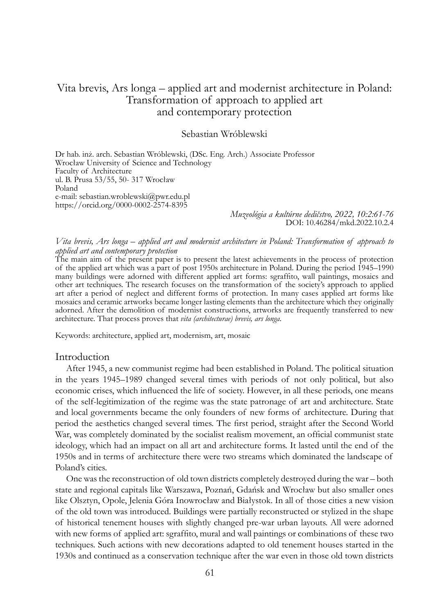# Vita brevis, Ars longa – applied art and modernist architecture in Poland: Transformation of approach to applied art and contemporary protection

### Sebastian Wróblewski

Dr hab. inż. arch. Sebastian Wróblewski, (DSc. Eng. Arch.) Associate Professor Wrocław University of Science and Technology Faculty of Architecture ul. B. Prusa 53/55, 50- 317 Wrocław Poland e-mail: sebastian.wroblewski@pwr.edu.pl https://orcid.org/0000-0002-2574-8395

> *Muzeológia a kultúrne dedičstvo, 2022, 10:2:61-76* DOI: 10.46284/mkd.2022.10.2.4

#### *Vita brevis, Ars longa – applied art and modernist architecture in Poland: Transformation of approach to applied art and contemporary protection*

The main aim of the present paper is to present the latest achievements in the process of protection of the applied art which was a part of post 1950s architecture in Poland. During the period 1945–1990 many buildings were adorned with different applied art forms: sgraffito, wall paintings, mosaics and other art techniques. The research focuses on the transformation of the society's approach to applied art after a period of neglect and different forms of protection. In many cases applied art forms like mosaics and ceramic artworks became longer lasting elements than the architecture which they originally adorned. After the demolition of modernist constructions, artworks are frequently transferred to new architecture. That process proves that *vita (architecturae) brevis, ars longa*.

Keywords: architecture, applied art, modernism, art, mosaic

#### Introduction

After 1945, a new communist regime had been established in Poland. The political situation in the years 1945–1989 changed several times with periods of not only political, but also economic crises, which influenced the life of society. However, in all these periods, one means of the self-legitimization of the regime was the state patronage of art and architecture. State and local governments became the only founders of new forms of architecture. During that period the aesthetics changed several times. The first period, straight after the Second World War, was completely dominated by the socialist realism movement, an official communist state ideology, which had an impact on all art and architecture forms. It lasted until the end of the 1950s and in terms of architecture there were two streams which dominated the landscape of Poland's cities.

One was the reconstruction of old town districts completely destroyed during the war – both state and regional capitals like Warszawa, Poznań, Gdańsk and Wrocław but also smaller ones like Olsztyn, Opole, Jelenia Góra Inowrocław and Białystok. In all of those cities a new vision of the old town was introduced. Buildings were partially reconstructed or stylized in the shape of historical tenement houses with slightly changed pre-war urban layouts. All were adorned with new forms of applied art: sgraffito, mural and wall paintings or combinations of these two techniques. Such actions with new decorations adapted to old tenement houses started in the 1930s and continued as a conservation technique after the war even in those old town districts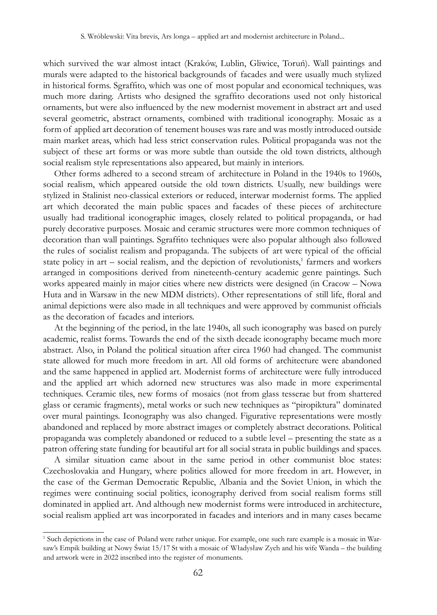which survived the war almost intact (Kraków, Lublin, Gliwice, Toruń). Wall paintings and murals were adapted to the historical backgrounds of facades and were usually much stylized in historical forms. Sgraffito, which was one of most popular and economical techniques, was much more daring. Artists who designed the sgraffito decorations used not only historical ornaments, but were also influenced by the new modernist movement in abstract art and used several geometric, abstract ornaments, combined with traditional iconography. Mosaic as a form of applied art decoration of tenement houses was rare and was mostly introduced outside main market areas, which had less strict conservation rules. Political propaganda was not the subject of these art forms or was more subtle than outside the old town districts, although social realism style representations also appeared, but mainly in interiors.

Other forms adhered to a second stream of architecture in Poland in the 1940s to 1960s, social realism, which appeared outside the old town districts. Usually, new buildings were stylized in Stalinist neo-classical exteriors or reduced, interwar modernist forms. The applied art which decorated the main public spaces and facades of these pieces of architecture usually had traditional iconographic images, closely related to political propaganda, or had purely decorative purposes. Mosaic and ceramic structures were more common techniques of decoration than wall paintings. Sgraffito techniques were also popular although also followed the rules of socialist realism and propaganda. The subjects of art were typical of the official state policy in art - social realism, and the depiction of revolutionists,<sup>1</sup> farmers and workers arranged in compositions derived from nineteenth-century academic genre paintings. Such works appeared mainly in major cities where new districts were designed (in Cracow – Nowa Huta and in Warsaw in the new MDM districts). Other representations of still life, floral and animal depictions were also made in all techniques and were approved by communist officials as the decoration of facades and interiors.

At the beginning of the period, in the late 1940s, all such iconography was based on purely academic, realist forms. Towards the end of the sixth decade iconography became much more abstract. Also, in Poland the political situation after circa 1960 had changed. The communist state allowed for much more freedom in art. All old forms of architecture were abandoned and the same happened in applied art. Modernist forms of architecture were fully introduced and the applied art which adorned new structures was also made in more experimental techniques. Ceramic tiles, new forms of mosaics (not from glass tesserae but from shattered glass or ceramic fragments), metal works or such new techniques as "piropiktura" dominated over mural paintings. Iconography was also changed. Figurative representations were mostly abandoned and replaced by more abstract images or completely abstract decorations. Political propaganda was completely abandoned or reduced to a subtle level – presenting the state as a patron offering state funding for beautiful art for all social strata in public buildings and spaces.

A similar situation came about in the same period in other communist bloc states: Czechoslovakia and Hungary, where politics allowed for more freedom in art. However, in the case of the German Democratic Republic, Albania and the Soviet Union, in which the regimes were continuing social politics, iconography derived from social realism forms still dominated in applied art. And although new modernist forms were introduced in architecture, social realism applied art was incorporated in facades and interiors and in many cases became

<sup>1</sup> Such depictions in the case of Poland were rather unique. For example, one such rare example is a mosaic in Warsaw's Empik building at Nowy Świat 15/17 St with a mosaic of Władysław Zych and his wife Wanda – the building and artwork were in 2022 inscribed into the register of monuments.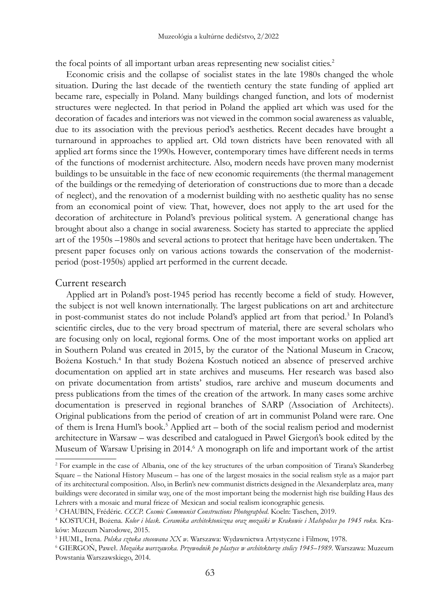the focal points of all important urban areas representing new socialist cities.<sup>2</sup>

Economic crisis and the collapse of socialist states in the late 1980s changed the whole situation. During the last decade of the twentieth century the state funding of applied art became rare, especially in Poland. Many buildings changed function, and lots of modernist structures were neglected. In that period in Poland the applied art which was used for the decoration of facades and interiors was not viewed in the common social awareness as valuable, due to its association with the previous period's aesthetics. Recent decades have brought a turnaround in approaches to applied art. Old town districts have been renovated with all applied art forms since the 1990s. However, contemporary times have different needs in terms of the functions of modernist architecture. Also, modern needs have proven many modernist buildings to be unsuitable in the face of new economic requirements (the thermal management of the buildings or the remedying of deterioration of constructions due to more than a decade of neglect), and the renovation of a modernist building with no aesthetic quality has no sense from an economical point of view. That, however, does not apply to the art used for the decoration of architecture in Poland's previous political system. A generational change has brought about also a change in social awareness. Society has started to appreciate the applied art of the 1950s –1980s and several actions to protect that heritage have been undertaken. The present paper focuses only on various actions towards the conservation of the modernistperiod (post-1950s) applied art performed in the current decade.

### Current research

Applied art in Poland's post-1945 period has recently become a field of study. However, the subject is not well known internationally. The largest publications on art and architecture in post-communist states do not include Poland's applied art from that period.3 In Poland's scientific circles, due to the very broad spectrum of material, there are several scholars who are focusing only on local, regional forms. One of the most important works on applied art in Southern Poland was created in 2015, by the curator of the National Museum in Cracow, Bożena Kostuch.<sup>4</sup> In that study Bożena Kostuch noticed an absence of preserved archive documentation on applied art in state archives and museums. Her research was based also on private documentation from artists' studios, rare archive and museum documents and press publications from the times of the creation of the artwork. In many cases some archive documentation is preserved in regional branches of SARP (Association of Architects). Original publications from the period of creation of art in communist Poland were rare. One of them is Irena Huml's book.<sup>5</sup> Applied art – both of the social realism period and modernist architecture in Warsaw – was described and catalogued in Paweł Giergoń's book edited by the Museum of Warsaw Uprising in 2014.<sup>6</sup> A monograph on life and important work of the artist

<sup>2</sup> For example in the case of Albania, one of the key structures of the urban composition of Tirana's Skanderbeg Square – the National History Museum – has one of the largest mosaics in the social realism style as a major part of its architectural composition. Also, in Berlin's new communist districts designed in the Alexanderplatz area, many buildings were decorated in similar way, one of the most important being the modernist high rise building Haus des Lehrers with a mosaic and mural frieze of Mexican and social realism iconographic genesis.

<sup>3</sup> CHAUBIN, Frédéric. *CCCP. Cosmic Communist Constructions Photographed*. Koeln: Taschen, 2019.

<sup>&</sup>lt;sup>4</sup> KOSTUCH, Bożena. *Kolor i blask. Ceramika architektoniczna oraz mozaiki w Krakowie i Małopolsce po 1945 roku. Kr*aków: Muzeum Narodowe, 2015.

<sup>5</sup> HUML, Irena. *Polska sztuka stosowana XX w*. Warszawa: Wydawnictwa Artystyczne i Filmow, 1978.

<sup>6</sup> GIERGOŃ, Paweł. *Mozaika warszawska. Przewodnik po plastyce w architekturze stolicy 1945–1989*. Warszawa: Muzeum Powstania Warszawskiego, 2014.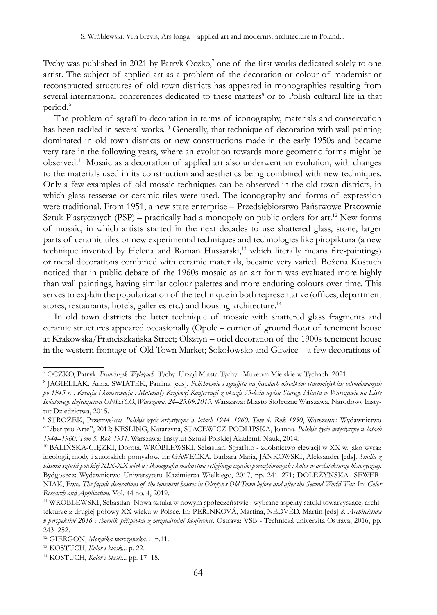Tychy was published in 2021 by Patryk Oczko,<sup>7</sup> one of the first works dedicated solely to one artist. The subject of applied art as a problem of the decoration or colour of modernist or reconstructed structures of old town districts has appeared in monographies resulting from several international conferences dedicated to these matters<sup>8</sup> or to Polish cultural life in that period.<sup>9</sup>

The problem of sgraffito decoration in terms of iconography, materials and conservation has been tackled in several works.10 Generally, that technique of decoration with wall painting dominated in old town districts or new constructions made in the early 1950s and became very rare in the following years, where an evolution towards more geometric forms might be observed.11 Mosaic as a decoration of applied art also underwent an evolution, with changes to the materials used in its construction and aesthetics being combined with new techniques. Only a few examples of old mosaic techniques can be observed in the old town districts, in which glass tesserae or ceramic tiles were used. The iconography and forms of expression were traditional. From 1951, a new state enterprise – Przedsiębiorstwo Państwowe Pracownie Sztuk Plastycznych (PSP) – practically had a monopoly on public orders for art.<sup>12</sup> New forms of mosaic, in which artists started in the next decades to use shattered glass, stone, larger parts of ceramic tiles or new experimental techniques and technologies like piropiktura (a new technique invented by Helena and Roman Hussarski,<sup>13</sup> which literally means fire-paintings) or metal decorations combined with ceramic materials, became very varied. Bożena Kostuch noticed that in public debate of the 1960s mosaic as an art form was evaluated more highly than wall paintings, having similar colour palettes and more enduring colours over time. This serves to explain the popularization of the technique in both representative (offices, department stores, restaurants, hotels, galleries etc.) and housing architecture.<sup>14</sup>

In old town districts the latter technique of mosaic with shattered glass fragments and ceramic structures appeared occasionally (Opole – corner of ground floor of tenement house at Krakowska/Franciszkańska Street; Olsztyn – oriel decoration of the 1900s tenement house in the western frontage of Old Town Market; Sokołowsko and Gliwice – a few decorations of

<sup>&</sup>lt;sup>7</sup> OCZKO, Patryk. *Franciszek Wyleżuch.* Tychy: Urząd Miasta Tychy i Muzeum Miejskie w Tychach. 2021.<br><sup>8</sup> JAGIELLAK - Anna SWLATEK - Paulina Jedel - *Polichromie i saraffita na fasadach ośrodków staromiejskich o* 

JAGIELLAK, Anna, SWIĄTEK, Paulina [eds]. *Polichromie i sgraffita na fasadach ośrodków staromiejskich odbudowanych po 1945 r. : Kreacja i konserwacja : Materiały Krajowej Konferencji z okazji 35-lecia wpisu Starego Miasta w Warszawie na Listę światowego dziedzictwa UNESCO*, *Warszawa, 24–25.09.2015*. Warszawa: Miasto Stołeczne Warszawa, Narodowy Instytut Dziedzictwa, 2015.

<sup>9</sup> STROŻEK, Przemysław. *Polskie życie artystyczne w latach 1944–1960. Tom 4. Rok 1950*, Warszawa: Wydawnictwo "Liber pro Arte", 2012; KESLING, Katarzyna, STACEWICZ-PODLIPSKA, Joanna. *Polskie życie artystyczne w latach 1944–1960. Tom 5. Rok 1951.* Warszawa: Instytut Sztuki Polskiej Akademii Nauk, 2014.

<sup>10</sup> BALIŃSKA-CIĘŻKI, Dorota, WRÓBLEWSKI, Sebastian. Sgraffito - zdobnictwo elewacji w XX w. jako wyraz ideologii, mody i autorskich pomysłów. In: GAWĘCKA, Barbara Maria, JANKOWSKI, Aleksander [eds]. *Studia z historii sztuki polskiej XIX-XX wieku : ikonografia malarstwa religijnego czasów porozbiorowych : kolor w architekturze historycznej*. Bydgoszcz: Wydawnictwo Uniwersytetu Kazimierza Wielkiego, 2017, pp. 241–271; DOLEŻYŃSKA- SEWER-NIAK, Ewa. *The façade decorations of the tenement houses in Olsztyn's Old Town before and after the Second World War*. In: *Color Research and Application.* Vol. 44 no. 4, 2019.

<sup>11</sup> WRÓBLEWSKI, Sebastian. Nowa sztuka w nowym społeczeństwie : wybrane aspekty sztuki towarzyszącej architekturze z drugiej połowy XX wieku w Polsce. In: PEŘINKOVÁ, Martina, NEDVĚD, Martin [eds] *8. Architektura v perspektivĕ 2016 : sborník příspěvků z mezinárodní konference*. Ostrava: VŠB - Technická univerzita Ostrava, 2016, pp. 243–252.

<sup>12</sup> GIERGOŃ, *Mozaika warszawska*… p.11.

<sup>13</sup> KOSTUCH, *Kolor i blask*... p. 22.

<sup>14</sup> KOSTUCH, *Kolor i blask...* pp. 17–18.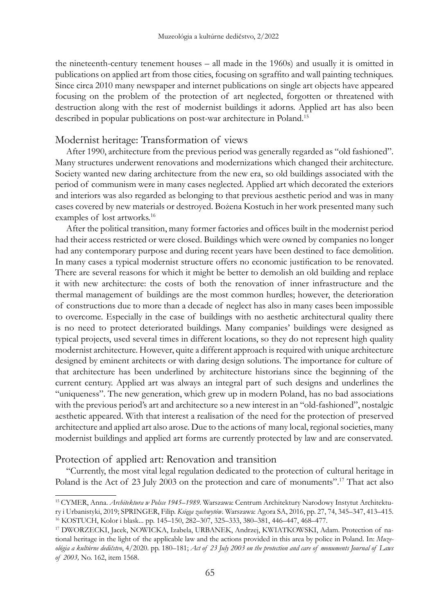the nineteenth-century tenement houses – all made in the 1960s) and usually it is omitted in publications on applied art from those cities, focusing on sgraffito and wall painting techniques. Since circa 2010 many newspaper and internet publications on single art objects have appeared focusing on the problem of the protection of art neglected, forgotten or threatened with destruction along with the rest of modernist buildings it adorns. Applied art has also been described in popular publications on post-war architecture in Poland.<sup>15</sup>

# Modernist heritage: Transformation of views

After 1990, architecture from the previous period was generally regarded as "old fashioned". Many structures underwent renovations and modernizations which changed their architecture. Society wanted new daring architecture from the new era, so old buildings associated with the period of communism were in many cases neglected. Applied art which decorated the exteriors and interiors was also regarded as belonging to that previous aesthetic period and was in many cases covered by new materials or destroyed. Bożena Kostuch in her work presented many such examples of lost artworks.<sup>16</sup>

After the political transition, many former factories and offices built in the modernist period had their access restricted or were closed. Buildings which were owned by companies no longer had any contemporary purpose and during recent years have been destined to face demolition. In many cases a typical modernist structure offers no economic justification to be renovated. There are several reasons for which it might be better to demolish an old building and replace it with new architecture: the costs of both the renovation of inner infrastructure and the thermal management of buildings are the most common hurdles; however, the deterioration of constructions due to more than a decade of neglect has also in many cases been impossible to overcome. Especially in the case of buildings with no aesthetic architectural quality there is no need to protect deteriorated buildings. Many companies' buildings were designed as typical projects, used several times in different locations, so they do not represent high quality modernist architecture. However, quite a different approach is required with unique architecture designed by eminent architects or with daring design solutions. The importance for culture of that architecture has been underlined by architecture historians since the beginning of the current century. Applied art was always an integral part of such designs and underlines the "uniqueness". The new generation, which grew up in modern Poland, has no bad associations with the previous period's art and architecture so a new interest in an "old-fashioned", nostalgic aesthetic appeared. With that interest a realisation of the need for the protection of preserved architecture and applied art also arose. Due to the actions of many local, regional societies, many modernist buildings and applied art forms are currently protected by law and are conservated.

## Protection of applied art: Renovation and transition

"Currently, the most vital legal regulation dedicated to the protection of cultural heritage in Poland is the Act of 23 July 2003 on the protection and care of monuments".17 That act also

<sup>15</sup> CYMER, Anna. *Architektura w Polsce 1945–1989.* Warszawa: Centrum Architektury Narodowy Instytut Architektury i Urbanistyki, 2019; SPRINGER, Filip. *Księga zachwytów*. Warszawa: Agora SA, 2016, pp. 27, 74, 345–347, 413–415.

<sup>16</sup> KOSTUCH, Kolor i blask... pp. 145–150, 282–307, 325–333, 380–381, 446–447, 468–477.

<sup>17</sup> DWORZECKI, Jacek, NOWICKA, Izabela, URBANEK, Andrzej, KWIATKOWSKI, Adam. Protection of national heritage in the light of the applicable law and the actions provided in this area by police in Poland. In: *Muzeológia a kultúrne dedičstvo*, 4/2020. pp. 180–181; *Act of 23 July 2003 on the protection and care of monuments Journal of Laws of 2003,* No. 162, item 1568.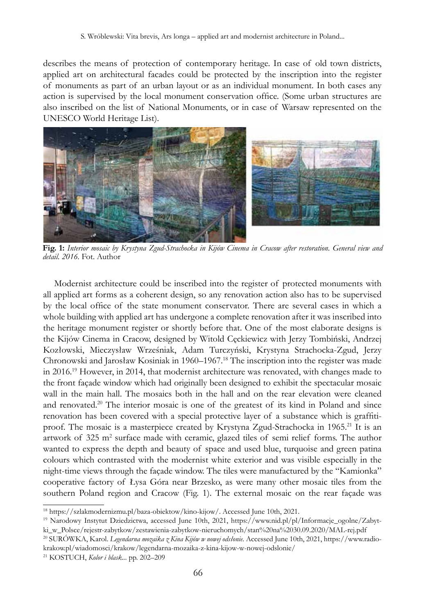describes the means of protection of contemporary heritage. In case of old town districts, applied art on architectural facades could be protected by the inscription into the register of monuments as part of an urban layout or as an individual monument. In both cases any action is supervised by the local monument conservation office. (Some urban structures are also inscribed on the list of National Monuments, or in case of Warsaw represented on the UNESCO World Heritage List).



**Fig. 1:** *Interior mosaic by Krystyna Zgud-Strachocka in Kijów Cinema in Cracow after restoration. General view and detail. 2016.* Fot. Author

Modernist architecture could be inscribed into the register of protected monuments with all applied art forms as a coherent design, so any renovation action also has to be supervised by the local office of the state monument conservator. There are several cases in which a whole building with applied art has undergone a complete renovation after it was inscribed into the heritage monument register or shortly before that. One of the most elaborate designs is the Kijów Cinema in Cracow, designed by Witold Cęckiewicz with Jerzy Tombiński, Andrzej Kozłowski, Mieczysław Wrześniak, Adam Turczyński, Krystyna Strachocka-Zgud, Jerzy Chronowski and Jarosław Kosiniak in 1960–1967.18 The inscription into the register was made in 2016.<sup>19</sup> However, in 2014, that modernist architecture was renovated, with changes made to the front façade window which had originally been designed to exhibit the spectacular mosaic wall in the main hall. The mosaics both in the hall and on the rear elevation were cleaned and renovated.<sup>20</sup> The interior mosaic is one of the greatest of its kind in Poland and since renovation has been covered with a special protective layer of a substance which is graffitiproof. The mosaic is a masterpiece created by Krystyna Zgud-Strachocka in 1965.<sup>21</sup> It is an artwork of 325 m<sup>2</sup> surface made with ceramic, glazed tiles of semi relief forms. The author wanted to express the depth and beauty of space and used blue, turquoise and green patina colours which contrasted with the modernist white exterior and was visible especially in the night-time views through the façade window. The tiles were manufactured by the "Kamionka" cooperative factory of Łysa Góra near Brzesko, as were many other mosaic tiles from the southern Poland region and Cracow (Fig. 1). The external mosaic on the rear façade was

<sup>18</sup> https://szlakmodernizmu.pl/baza-obiektow/kino-kijow/. Accessed June 10th, 2021.

<sup>19</sup> Narodowy Instytut Dziedzictwa, accessed June 10th, 2021, https://www.nid.pl/pl/Informacje\_ogolne/Zabytki\_w\_Polsce/rejestr-zabytkow/zestawienia-zabytkow-nieruchomych/stan%20na%2030.09.2020/MAL-rej.pdf

<sup>20</sup> SURÓWKA, Karol. *Legendarna mozaika z Kina Kijów w nowej odsłonie.* Accessed June 10th, 2021, https://www.radiokrakow.pl/wiadomosci/krakow/legendarna-mozaika-z-kina-kijow-w-nowej-odslonie/

<sup>21</sup> KOSTUCH, *Kolor i blask...* pp. 202–209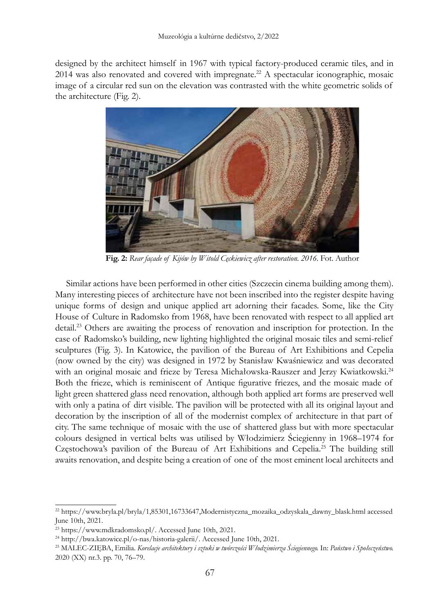designed by the architect himself in 1967 with typical factory-produced ceramic tiles, and in 2014 was also renovated and covered with impregnate.<sup>22</sup> A spectacular iconographic, mosaic image of a circular red sun on the elevation was contrasted with the white geometric solids of the architecture (Fig. 2).



**Fig. 2:** *Rear façade of Kijów by Witold Cęckiewicz after restoration. 2016.* Fot. Author

Similar actions have been performed in other cities (Szczecin cinema building among them). Many interesting pieces of architecture have not been inscribed into the register despite having unique forms of design and unique applied art adorning their facades. Some, like the City House of Culture in Radomsko from 1968, have been renovated with respect to all applied art detail.<sup>23</sup> Others are awaiting the process of renovation and inscription for protection. In the case of Radomsko's building, new lighting highlighted the original mosaic tiles and semi-relief sculptures (Fig. 3). In Katowice, the pavilion of the Bureau of Art Exhibitions and Cepelia (now owned by the city) was designed in 1972 by Stanisław Kwaśniewicz and was decorated with an original mosaic and frieze by Teresa Michałowska-Rauszer and Jerzy Kwiatkowski.<sup>24</sup> Both the frieze, which is reminiscent of Antique figurative friezes, and the mosaic made of light green shattered glass need renovation, although both applied art forms are preserved well with only a patina of dirt visible. The pavilion will be protected with all its original layout and decoration by the inscription of all of the modernist complex of architecture in that part of city. The same technique of mosaic with the use of shattered glass but with more spectacular colours designed in vertical belts was utilised by Włodzimierz Ściegienny in 1968–1974 for Częstochowa's pavilion of the Bureau of Art Exhibitions and Cepelia.25 The building still awaits renovation, and despite being a creation of one of the most eminent local architects and

<sup>22</sup> https://www.bryla.pl/bryla/1,85301,16733647,Modernistyczna\_mozaika\_odzyskala\_dawny\_blask.html accessed June 10th, 2021.

<sup>23</sup> https://www.mdkradomsko.pl/. Accessed June 10th, 2021.

<sup>24</sup> http://bwa.katowice.pl/o-nas/historia-galerii/. Accessed June 10th, 2021.

<sup>25</sup> MALEC-ZIĘBA, Emilia. *Korelacje architektury i sztuki w twórczości Włodzimierza Ściegiennego.* In: *Państwo i Społeczeństwo.*  2020 (XX) nr.3. pp. 70, 76–79.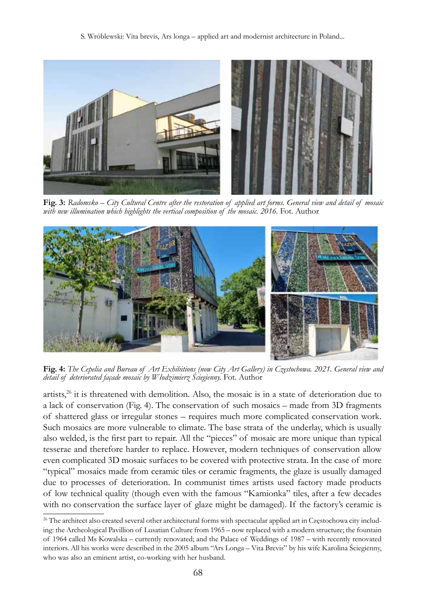S. Wróblewski: Vita brevis, Ars longa – applied art and modernist architecture in Poland...



**Fig. 3:** *Radomsko – City Cultural Centre after the restoration of applied art forms. General view and detail of mosaic*  with new illumination which highlights the vertical composition of the mosaic. 2016. Fot. Author



**Fig. 4:** *The Cepelia and Bureau of Art Exhibitions (now City Art Gallery) in Częstochowa. 2021. General view and detail of deteriorated façade mosaic by Włodzimierz Ściegienny.* Fot. Author

artists, $26$  it is threatened with demolition. Also, the mosaic is in a state of deterioration due to a lack of conservation (Fig. 4). The conservation of such mosaics – made from 3D fragments of shattered glass or irregular stones – requires much more complicated conservation work. Such mosaics are more vulnerable to climate. The base strata of the underlay, which is usually also welded, is the first part to repair. All the "pieces" of mosaic are more unique than typical tesserae and therefore harder to replace. However, modern techniques of conservation allow even complicated 3D mosaic surfaces to be covered with protective strata. In the case of more "typical" mosaics made from ceramic tiles or ceramic fragments, the glaze is usually damaged due to processes of deterioration. In communist times artists used factory made products of low technical quality (though even with the famous "Kamionka" tiles, after a few decades with no conservation the surface layer of glaze might be damaged). If the factory's ceramic is

<sup>&</sup>lt;sup>26</sup> The architect also created several other architectural forms with spectacular applied art in Częstochowa city including: the Archeological Pavillion of Lusatian Culture from 1965 – now replaced with a modern structure; the fountain of 1964 called Ms Kowalska – currently renovated; and the Palace of Weddings of 1987 – with recently renovated interiors. All his works were described in the 2005 album "Ars Longa – Vita Brevis" by his wife Karolina Ściegienny, who was also an eminent artist, co-working with her husband.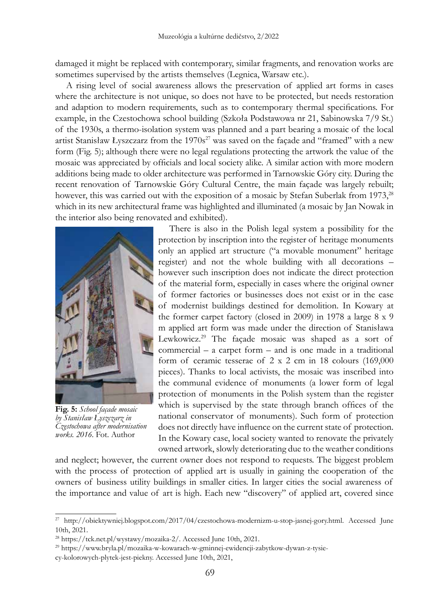damaged it might be replaced with contemporary, similar fragments, and renovation works are sometimes supervised by the artists themselves (Legnica, Warsaw etc.).

A rising level of social awareness allows the preservation of applied art forms in cases where the architecture is not unique, so does not have to be protected, but needs restoration and adaption to modern requirements, such as to contemporary thermal specifications. For example, in the Czestochowa school building (Szkoła Podstawowa nr 21, Sabinowska 7/9 St.) of the 1930s, a thermo-isolation system was planned and a part bearing a mosaic of the local artist Stanisław Łyszczarz from the  $1970s^{27}$  was saved on the façade and "framed" with a new form (Fig. 5); although there were no legal regulations protecting the artwork the value of the mosaic was appreciated by officials and local society alike. A similar action with more modern additions being made to older architecture was performed in Tarnowskie Góry city. During the recent renovation of Tarnowskie Góry Cultural Centre, the main façade was largely rebuilt; however, this was carried out with the exposition of a mosaic by Stefan Suberlak from 1973,<sup>28</sup> which in its new architectural frame was highlighted and illuminated (a mosaic by Jan Nowak in the interior also being renovated and exhibited).



**Fig. 5:** *School façade mosaic by Stanisław Łyszczarz in Częstochowa after modernisation works. 2016.* Fot. Author

There is also in the Polish legal system a possibility for the protection by inscription into the register of heritage monuments only an applied art structure ("a movable monument" heritage register) and not the whole building with all decorations – however such inscription does not indicate the direct protection of the material form, especially in cases where the original owner of former factories or businesses does not exist or in the case of modernist buildings destined for demolition. In Kowary at the former carpet factory (closed in 2009) in 1978 a large 8 x 9 m applied art form was made under the direction of Stanisława Lewkowicz.29 The façade mosaic was shaped as a sort of commercial – a carpet form – and is one made in a traditional form of ceramic tesserae of 2 x 2 cm in 18 colours (169,000 pieces). Thanks to local activists, the mosaic was inscribed into the communal evidence of monuments (a lower form of legal protection of monuments in the Polish system than the register which is supervised by the state through branch offices of the national conservator of monuments). Such form of protection does not directly have influence on the current state of protection. In the Kowary case, local society wanted to renovate the privately owned artwork, slowly deteriorating due to the weather conditions

and neglect; however, the current owner does not respond to requests. The biggest problem with the process of protection of applied art is usually in gaining the cooperation of the owners of business utility buildings in smaller cities. In larger cities the social awareness of the importance and value of art is high. Each new "discovery" of applied art, covered since

<sup>27</sup> http://obiektywniej.blogspot.com/2017/04/czestochowa-modernizm-u-stop-jasnej-gory.html. Accessed June 10th, 2021.

<sup>28</sup> https://tck.net.pl/wystawy/mozaika-2/. Accessed June 10th, 2021.

<sup>29</sup> https://www.bryla.pl/mozaika-w-kowarach-w-gminnej-ewidencji-zabytkow-dywan-z-tysie-

cy-kolorowych-plytek-jest-piekny. Accessed June 10th, 2021,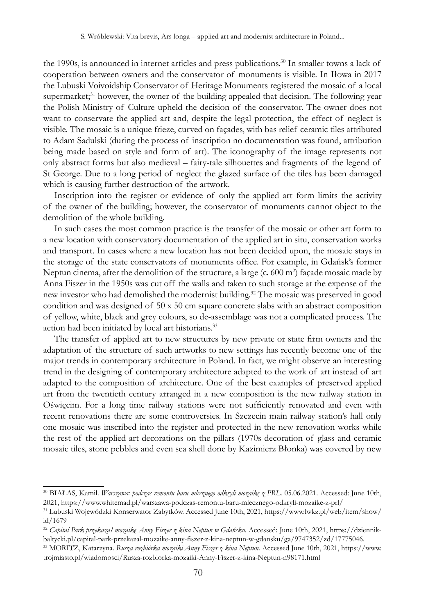the 1990s, is announced in internet articles and press publications.<sup>30</sup> In smaller towns a lack of cooperation between owners and the conservator of monuments is visible. In Iłowa in 2017 the Lubuski Voivoidship Conservator of Heritage Monuments registered the mosaic of a local supermarket;<sup>31</sup> however, the owner of the building appealed that decision. The following year the Polish Ministry of Culture upheld the decision of the conservator. The owner does not want to conservate the applied art and, despite the legal protection, the effect of neglect is visible. The mosaic is a unique frieze, curved on façades, with bas relief ceramic tiles attributed to Adam Sadulski (during the process of inscription no documentation was found, attribution being made based on style and form of art). The iconography of the image represents not only abstract forms but also medieval – fairy-tale silhouettes and fragments of the legend of St George. Due to a long period of neglect the glazed surface of the tiles has been damaged which is causing further destruction of the artwork.

Inscription into the register or evidence of only the applied art form limits the activity of the owner of the building; however, the conservator of monuments cannot object to the demolition of the whole building.

In such cases the most common practice is the transfer of the mosaic or other art form to a new location with conservatory documentation of the applied art in situ, conservation works and transport. In cases where a new location has not been decided upon, the mosaic stays in the storage of the state conservators of monuments office. For example, in Gdańsk's former Neptun cinema, after the demolition of the structure, a large (c. 600 m<sup>2</sup>) façade mosaic made by Anna Fiszer in the 1950s was cut off the walls and taken to such storage at the expense of the new investor who had demolished the modernist building.<sup>32</sup> The mosaic was preserved in good condition and was designed of 50 x 50 cm square concrete slabs with an abstract composition of yellow, white, black and grey colours, so de-assemblage was not a complicated process. The action had been initiated by local art historians.<sup>33</sup>

The transfer of applied art to new structures by new private or state firm owners and the adaptation of the structure of such artworks to new settings has recently become one of the major trends in contemporary architecture in Poland. In fact, we might observe an interesting trend in the designing of contemporary architecture adapted to the work of art instead of art adapted to the composition of architecture. One of the best examples of preserved applied art from the twentieth century arranged in a new composition is the new railway station in Oświęcim. For a long time railway stations were not sufficiently renovated and even with recent renovations there are some controversies. In Szczecin main railway station's hall only one mosaic was inscribed into the register and protected in the new renovation works while the rest of the applied art decorations on the pillars (1970s decoration of glass and ceramic mosaic tiles, stone pebbles and even sea shell done by Kazimierz Błonka) was covered by new

<sup>30</sup> BIAŁAS, Kamil. *Warszawa: podczas remontu baru mlecznego odkryli mozaikę z PRL.* 05.06.2021. Accessed: June 10th, 2021, https://www.whitemad.pl/warszawa-podczas-remontu-baru-mlecznego-odkryli-mozaike-z-prl/

<sup>31</sup> Lubuski Wojewódzki Konserwator Zabytków. Accessed June 10th, 2021, https://www.lwkz.pl/web/item/show/ id/1679

<sup>32</sup> *Capital Park przekazał mozaikę Anny Fiszer z kina Neptun w Gdańsku*. Accessed: June 10th, 2021, https://dziennikbaltycki.pl/capital-park-przekazal-mozaike-anny-fiszer-z-kina-neptun-w-gdansku/ga/9747352/zd/17775046.

<sup>33</sup> MORITZ, Katarzyna. *Rusza rozbiórka mozaiki Anny Fiszer z kina Neptun.* Accessed June 10th, 2021, https://www. trojmiasto.pl/wiadomosci/Rusza-rozbiorka-mozaiki-Anny-Fiszer-z-kina-Neptun-n98171.html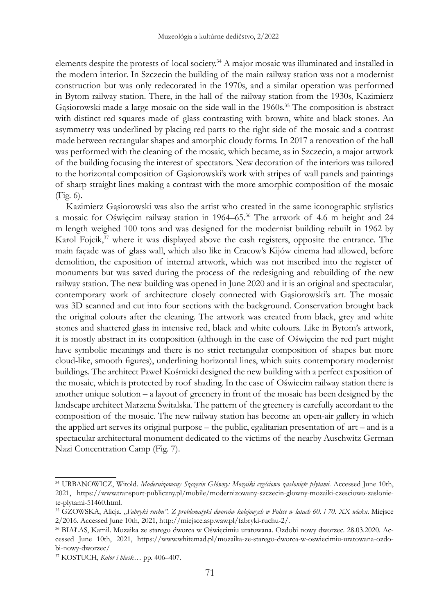elements despite the protests of local society.<sup>34</sup> A major mosaic was illuminated and installed in the modern interior. In Szczecin the building of the main railway station was not a modernist construction but was only redecorated in the 1970s, and a similar operation was performed in Bytom railway station. There, in the hall of the railway station from the 1930s, Kazimierz Gasiorowski made a large mosaic on the side wall in the 1960s.<sup>35</sup> The composition is abstract with distinct red squares made of glass contrasting with brown, white and black stones. An asymmetry was underlined by placing red parts to the right side of the mosaic and a contrast made between rectangular shapes and amorphic cloudy forms. In 2017 a renovation of the hall was performed with the cleaning of the mosaic, which became, as in Szczecin, a major artwork of the building focusing the interest of spectators. New decoration of the interiors was tailored to the horizontal composition of Gąsiorowski's work with stripes of wall panels and paintings of sharp straight lines making a contrast with the more amorphic composition of the mosaic (Fig. 6).

Kazimierz Gąsiorowski was also the artist who created in the same iconographic stylistics a mosaic for Oświęcim railway station in 1964–65.36 The artwork of 4.6 m height and 24 m length weighed 100 tons and was designed for the modernist building rebuilt in 1962 by Karol Fojcik, $37$  where it was displayed above the cash registers, opposite the entrance. The main façade was of glass wall, which also like in Cracow's Kijów cinema had allowed, before demolition, the exposition of internal artwork, which was not inscribed into the register of monuments but was saved during the process of the redesigning and rebuilding of the new railway station. The new building was opened in June 2020 and it is an original and spectacular, contemporary work of architecture closely connected with Gąsiorowski's art. The mosaic was 3D scanned and cut into four sections with the background. Conservation brought back the original colours after the cleaning. The artwork was created from black, grey and white stones and shattered glass in intensive red, black and white colours. Like in Bytom's artwork, it is mostly abstract in its composition (although in the case of Oświęcim the red part might have symbolic meanings and there is no strict rectangular composition of shapes but more cloud-like, smooth figures), underlining horizontal lines, which suits contemporary modernist buildings. The architect Paweł Kośmicki designed the new building with a perfect exposition of the mosaic, which is protected by roof shading. In the case of Oświecim railway station there is another unique solution – a layout of greenery in front of the mosaic has been designed by the landscape architect Marzena Świtalska. The pattern of the greenery is carefully accordant to the composition of the mosaic. The new railway station has become an open-air gallery in which the applied art serves its original purpose – the public, egalitarian presentation of art – and is a spectacular architectural monument dedicated to the victims of the nearby Auschwitz German Nazi Concentration Camp (Fig. 7).

<sup>34</sup> URBANOWICZ, Witold. *Modernizowany Szczecin Główny: Mozaiki częściowo zasłonięte płytami.* Accessed June 10th, 2021, https://www.transport-publiczny.pl/mobile/modernizowany-szczecin-glowny-mozaiki-czesciowo-zasloniete-plytami-51460.html.

<sup>&</sup>lt;sup>35</sup> GZOWSKA, Alicja. "Fabryki ruchu". Z problematyki dworców kolejowych w Polsce w latach 60. i 70. XX wieku. Miejsce 2/2016. Accessed June 10th, 2021, http://miejsce.asp.waw.pl/fabryki-ruchu-2/.

<sup>36</sup> BIAŁAS, Kamil. Mozaika ze starego dworca w Oświęcimiu uratowana. Ozdobi nowy dworzec. 28.03.2020. Accessed June 10th, 2021, https://www.whitemad.pl/mozaika-ze-starego-dworca-w-oswiecimiu-uratowana-ozdobi-nowy-dworzec/

<sup>37</sup> KOSTUCH, *Kolor i blask…* pp. 406–407.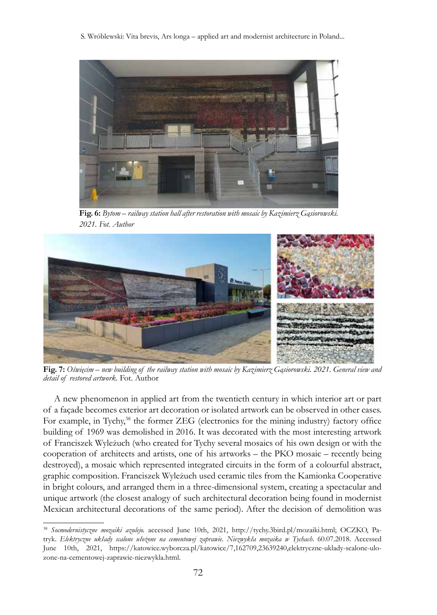S. Wróblewski: Vita brevis, Ars longa – applied art and modernist architecture in Poland...



**Fig. 6:** *Bytom – railway station hall after restoration with mosaic by Kazimierz Gąsiorowski. 2021. Fot. Author*



**Fig. 7:** *Oświęcim – new building of the railway station with mosaic by Kazimierz Gąsiorowski. 2021. General view and detail of restored artwork.* Fot. Author

A new phenomenon in applied art from the twentieth century in which interior art or part of a façade becomes exterior art decoration or isolated artwork can be observed in other cases. For example, in Tychy,<sup>38</sup> the former ZEG (electronics for the mining industry) factory office building of 1969 was demolished in 2016. It was decorated with the most interesting artwork of Franciszek Wyleżuch (who created for Tychy several mosaics of his own design or with the cooperation of architects and artists, one of his artworks – the PKO mosaic – recently being destroyed), a mosaic which represented integrated circuits in the form of a colourful abstract, graphic composition. Franciszek Wyleżuch used ceramic tiles from the Kamionka Cooperative in bright colours, and arranged them in a three-dimensional system, creating a spectacular and unique artwork (the closest analogy of such architectural decoration being found in modernist Mexican architectural decorations of the same period). After the decision of demolition was

<sup>38</sup> *Socmodernistyczne mozaiki azulejo.* accessed June 10th, 2021, http://tychy.3bird.pl/mozaiki.html; OCZKO, Patryk. *Elektryczne układy scalone ułożone na cementowej zaprawie. Niezwykła mozaika w Tychach*. 60.07.2018. Accessed June 10th, 2021, https://katowice.wyborcza.pl/katowice/7,162709,23639240,elektryczne-uklady-scalone-ulozone-na-cementowej-zaprawie-niezwykla.html.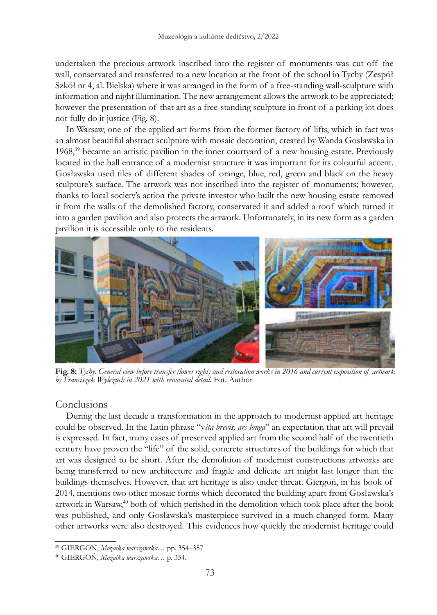undertaken the precious artwork inscribed into the register of monuments was cut off the wall, conservated and transferred to a new location at the front of the school in Tychy (Zespół Szkół nr 4, al. Bielska) where it was arranged in the form of a free-standing wall-sculpture with information and night illumination. The new arrangement allows the artwork to be appreciated; however the presentation of that art as a free-standing sculpture in front of a parking lot does not fully do it justice (Fig. 8).

In Warsaw, one of the applied art forms from the former factory of lifts, which in fact was an almost beautiful abstract sculpture with mosaic decoration, created by Wanda Gosławska in 1968,<sup>39</sup> became an artistic pavilion in the inner courtyard of a new housing estate. Previously located in the hall entrance of a modernist structure it was important for its colourful accent. Gosławska used tiles of different shades of orange, blue, red, green and black on the heavy sculpture's surface. The artwork was not inscribed into the register of monuments; however, thanks to local society's action the private investor who built the new housing estate removed it from the walls of the demolished factory, conservated it and added a roof which turned it into a garden pavilion and also protects the artwork. Unfortunately, in its new form as a garden pavilion it is accessible only to the residents.



**Fig. 8:** *Tychy. General view before transfer (lower right) and restoration works in 2016 and current exposition of artwork by Franciszek Wyleżuch in 2021 with renovated detail.* Fot. Author

## **Conclusions**

During the last decade a transformation in the approach to modernist applied art heritage could be observed. In the Latin phrase "v*ita brevis, ars longa*" an expectation that art will prevail is expressed. In fact, many cases of preserved applied art from the second half of the twentieth century have proven the "life" of the solid, concrete structures of the buildings for which that art was designed to be short. After the demolition of modernist constructions artworks are being transferred to new architecture and fragile and delicate art might last longer than the buildings themselves. However, that art heritage is also under threat. Giergoń, in his book of 2014, mentions two other mosaic forms which decorated the building apart from Gosławska's artwork in Warsaw, $40$  both of which perished in the demolition which took place after the book was published, and only Gosławska's masterpiece survived in a much-changed form. Many other artworks were also destroyed. This evidences how quickly the modernist heritage could

<sup>39</sup> GIERGOŃ, *Mozaika warszawska…* pp. 354–357

<sup>40</sup> GIERGOŃ, *Mozaika warszawska*… p. 354.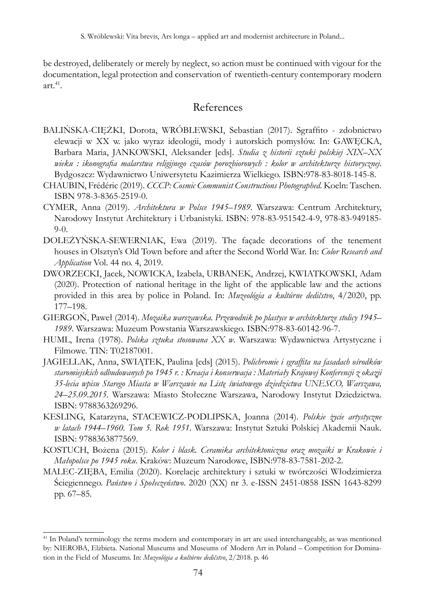be destroyed, deliberately or merely by neglect, so action must be continued with vigour for the documentation, legal protection and conservation of twentieth-century contemporary modern art. $41$ .

# References

- BALIŃSKA-CIĘŻKI, Dorota, WRÓBLEWSKI, Sebastian (2017). Sgraffito zdobnictwo elewacji w XX w. jako wyraz ideologii, mody i autorskich pomysłów. In: GAWĘCKA, Barbara Maria, JANKOWSKI, Aleksander [eds]. *Studia z historii sztuki polskiej XIX–XX wieku : ikonografia malarstwa religijnego czasów porozbiorowych : kolor w architekturze historycznej*. Bydgoszcz: Wydawnictwo Uniwersytetu Kazimierza Wielkiego. ISBN:978-83-8018-145-8.
- CHAUBIN, Frédéric (2019). *CCCP: Cosmic Communist Constructions Photographed*. Koeln: Taschen. ISBN 978-3-8365-2519-0.
- CYMER, Anna (2019). *Architektura w Polsce 1945–1989*. Warszawa: Centrum Architektury, Narodowy Instytut Architektury i Urbanistyki. ISBN: 978-83-951542-4-9, 978-83-949185- 9-0.
- DOLEŻYŃSKA-SEWERNIAK, Ewa (2019). The façade decorations of the tenement houses in Olsztyn's Old Town before and after the Second World War. In: *Color Research and Application* Vol. 44 no. 4, 2019.
- DWORZECKI, Jacek, NOWICKA, Izabela, URBANEK, Andrzej, KWIATKOWSKI, Adam (2020). Protection of national heritage in the light of the applicable law and the actions provided in this area by police in Poland. In: *Muzeológia a kultúrne dedičstvo*, 4/2020, pp. 177–198.
- GIERGOŃ, Paweł (2014). *Mozaika warszawska. Przewodnik po plastyce w architekturze stolicy 1945– 1989*. Warszawa: Muzeum Powstania Warszawskiego. ISBN:978-83-60142-96-7.
- HUML, Irena (1978). *Polska sztuka stosowana XX w*. Warszawa: Wydawnictwa Artystyczne i Filmowe. TIN: T02187001.
- JAGIELLAK, Anna, SWIĄTEK, Paulina [eds] (2015). *Polichromie i sgraffita na fasadach ośrodków staromiejskich odbudowanych po 1945 r. : Kreacja i konserwacja : Materiały Krajowej Konferencji z okazji 35-lecia wpisu Starego Miasta w Warszawie na Listę światowego dziedzictwa UNESCO, Warszawa, 24–25.09.2015*. Warszawa: Miasto Stołeczne Warszawa, Narodowy Instytut Dziedzictwa. ISBN: 9788363269296.
- KESLING, Katarzyna, STACEWICZ-PODLIPSKA, Joanna (2014). *Polskie życie artystyczne w latach 1944–1960. Tom 5. Rok 1951*. Warszawa: Instytut Sztuki Polskiej Akademii Nauk. ISBN: 9788363877569.
- KOSTUCH, Bożena (2015). *Kolor i blask. Ceramika architektoniczna oraz mozaiki w Krakowie i Małopolsce po 1945 roku*. Kraków: Muzeum Narodowe, ISBN:978-83-7581-202-2.
- MALEC-ZIĘBA, Emilia (2020). Korelacje architektury i sztuki w twórczości Włodzimierza Ściegiennego. *Państwo i Społeczeństwo*. 2020 (XX) nr 3. e-ISSN 2451-0858 ISSN 1643-8299 pp. 67–85.

<sup>41</sup> In Poland's terminology the terms modern and contemporary in art are used interchangeably, as was mentioned by: NIEROBA, Elżbieta. National Museums and Museums of Modern Art in Poland – Competition for Domination in the Field of Museums. In: *Muzeológia a kultúrne dedičstvo*, 2/2018. p. 46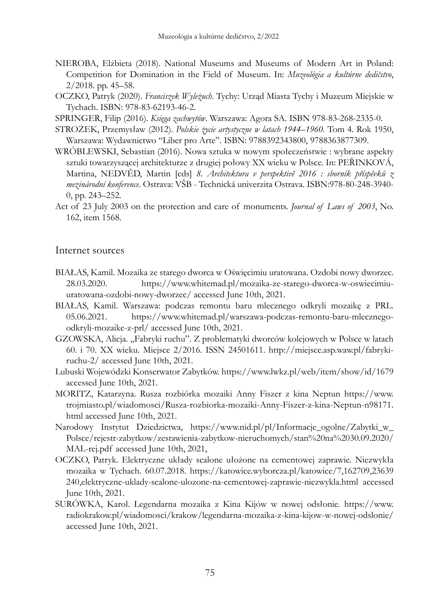- NIEROBA, Elżbieta (2018). National Museums and Museums of Modern Art in Poland: Competition for Domination in the Field of Museum. In: *Muzeológia a kultúrne dedičstvo*, 2/2018. pp. 45–58.
- OCZKO, Patryk (2020). *Franciszek Wyleżuch*. Tychy: Urząd Miasta Tychy i Muzeum Miejskie w Tychach. ISBN: 978-83-62193-46-2.

SPRINGER, Filip (2016). *Księga zachwytów*. Warszawa: Agora SA. ISBN 978-83-268-2335-0.

- STROŻEK, Przemysław (2012). *Polskie życie artystyczne w latach 1944–1960*. Tom 4. Rok 1950, Warszawa: Wydawnictwo "Liber pro Arte". ISBN: 9788392343800, 9788363877309.
- WRÓBLEWSKI, Sebastian (2016). Nowa sztuka w nowym społeczeństwie : wybrane aspekty sztuki towarzyszącej architekturze z drugiej połowy XX wieku w Polsce. In: PEŘINKOVÁ, Martina, NEDVĚD, Martin [eds] *8. Architektura v perspektivĕ 2016 : sborník příspěvků z mezinárodní konference*. Ostrava: VŠB - Technická univerzita Ostrava. ISBN:978-80-248-3940- 0, pp. 243–252.
- Act of 23 July 2003 on the protection and care of monuments. *Journal of Laws of 2003*, No. 162, item 1568.

# Internet sources

- BIAŁAS, Kamil. Mozaika ze starego dworca w Oświęcimiu uratowana. Ozdobi nowy dworzec. 28.03.2020. https://www.whitemad.pl/mozaika-ze-starego-dworca-w-oswiecimiuuratowana-ozdobi-nowy-dworzec/ accessed June 10th, 2021.
- BIAŁAS, Kamil. Warszawa: podczas remontu baru mlecznego odkryli mozaikę z PRL. 05.06.2021. https://www.whitemad.pl/warszawa-podczas-remontu-baru-mlecznegoodkryli-mozaike-z-prl/ accessed June 10th, 2021.
- GZOWSKA, Alicja. "Fabryki ruchu". Z problematyki dworców kolejowych w Polsce w latach 60. i 70. XX wieku. Miejsce 2/2016. ISSN 24501611. http://miejsce.asp.waw.pl/fabrykiruchu-2/ accessed June 10th, 2021.
- Lubuski Wojewódzki Konserwator Zabytków. https://www.lwkz.pl/web/item/show/id/1679 accessed June 10th, 2021.
- MORITZ, Katarzyna. Rusza rozbiórka mozaiki Anny Fiszer z kina Neptun https://www. trojmiasto.pl/wiadomosci/Rusza-rozbiorka-mozaiki-Anny-Fiszer-z-kina-Neptun-n98171. html accessed June 10th, 2021.
- Narodowy Instytut Dziedzictwa, https://www.nid.pl/pl/Informacje\_ogolne/Zabytki\_w\_ Polsce/rejestr-zabytkow/zestawienia-zabytkow-nieruchomych/stan%20na%2030.09.2020/ MAL-rej.pdf accessed June 10th, 2021,
- OCZKO, Patryk. Elektryczne układy scalone ułożone na cementowej zaprawie. Niezwykła mozaika w Tychach. 60.07.2018. https://katowice.wyborcza.pl/katowice/7,162709,23639 240,elektryczne-uklady-scalone-ulozone-na-cementowej-zaprawie-niezwykla.html accessed June 10th, 2021.
- SURÓWKA, Karol. Legendarna mozaika z Kina Kijów w nowej odsłonie. https://www. radiokrakow.pl/wiadomosci/krakow/legendarna-mozaika-z-kina-kijow-w-nowej-odslonie/ accessed June 10th, 2021.